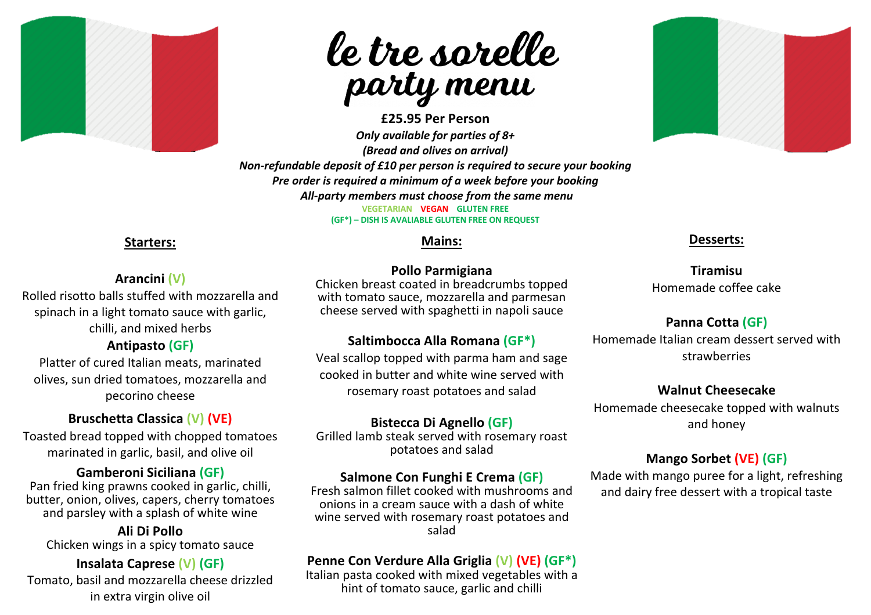



**£25.95 Per Person** *Only available for parties of 8+ (Bread and olives on arrival) Non-refundable deposit of £10 per person is required to secure your booking Pre order is required a minimum of a week before your booking All-party members must choose from the same menu* **VEGETARIAN VEGAN GLUTEN FREE (GF\*) – DISH IS AVALIABLE GLUTEN FREE ON REQUEST**

#### **Starters:**

#### **Arancini (V)**

Rolled risotto balls stuffed with mozzarella and spinach in a light tomato sauce with garlic, chilli, and mixed herbs

# **Antipasto (GF)**

Platter of cured Italian meats, marinated olives, sun dried tomatoes, mozzarella and pecorino cheese

# **Bruschetta Classica (V) (VE)**

Toasted bread topped with chopped tomatoes marinated in garlic, basil, and olive oil

#### **Gamberoni Siciliana (GF)**

Pan fried king prawns cooked in garlic, chilli, butter, onion, olives, capers, cherry tomatoes and parsley with a splash of white wine

**Ali Di Pollo** Chicken wings in a spicy tomato sauce

# **Insalata Caprese (V) (GF)**

Tomato, basil and mozzarella cheese drizzled in extra virgin olive oil

# **Mains:**

#### **Pollo Parmigiana**

Chicken breast coated in breadcrumbs topped with tomato sauce, mozzarella and parmesan cheese served with spaghetti in napoli sauce

#### **Saltimbocca Alla Romana (GF\*)**

Veal scallop topped with parma ham and sage cooked in butter and white wine served with rosemary roast potatoes and salad

#### **Bistecca Di Agnello (GF)**

Grilled lamb steak served with rosemary roast potatoes and salad

#### **Salmone Con Funghi E Crema (GF)**

Fresh salmon fillet cooked with mushrooms and onions in a cream sauce with a dash of white wine served with rosemary roast potatoes and salad

# **Penne Con Verdure Alla Griglia (V) (VE) (GF\*)**

Italian pasta cooked with mixed vegetables with a hint of tomato sauce, garlic and chilli



#### **Desserts:**

**Tiramisu** Homemade coffee cake

# **Panna Cotta (GF)**

Homemade Italian cream dessert served with strawberries

#### **Walnut Cheesecake**

Homemade cheesecake topped with walnuts and honey

#### **Mango Sorbet (VE) (GF)**

Made with mango puree for a light, refreshing and dairy free dessert with a tropical taste